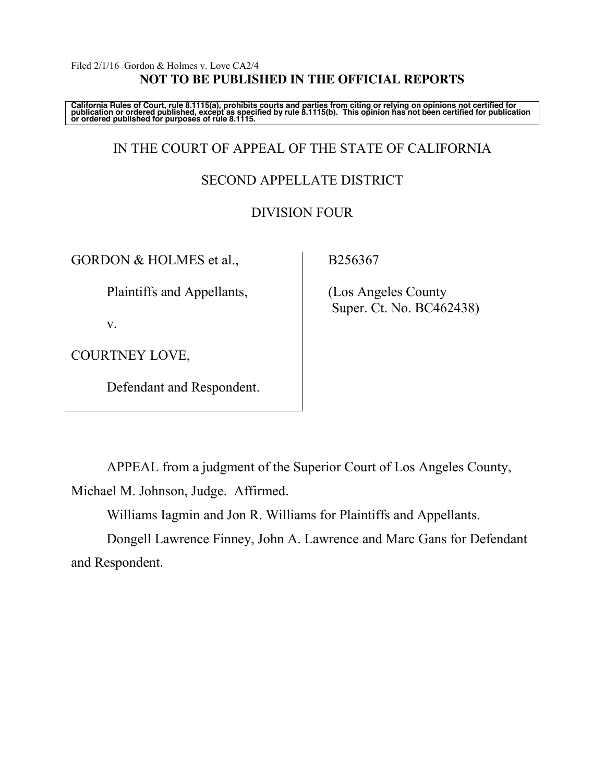#### Filed 2/1/16 Gordon & Holmes v. Love CA2/4 **NOT TO BE PUBLISHED IN THE OFFICIAL REPORTS**

California Rules of Court, rule 8.1115(a), prohibits courts and parties from citing or relying on opinions not certified for<br>publication or ordered published, except as specified by rule 8.1115(b). This opinion has not be

# IN THE COURT OF APPEAL OF THE STATE OF CALIFORNIA

## SECOND APPELLATE DISTRICT

## DIVISION FOUR

GORDON & HOLMES et al.,

Plaintiffs and Appellants,

v.

COURTNEY LOVE,

Defendant and Respondent.

B256367

 (Los Angeles County Super. Ct. No. BC462438)

APPEAL from a judgment of the Superior Court of Los Angeles County, Michael M. Johnson, Judge. Affirmed.

Williams Iagmin and Jon R. Williams for Plaintiffs and Appellants.

Dongell Lawrence Finney, John A. Lawrence and Marc Gans for Defendant and Respondent.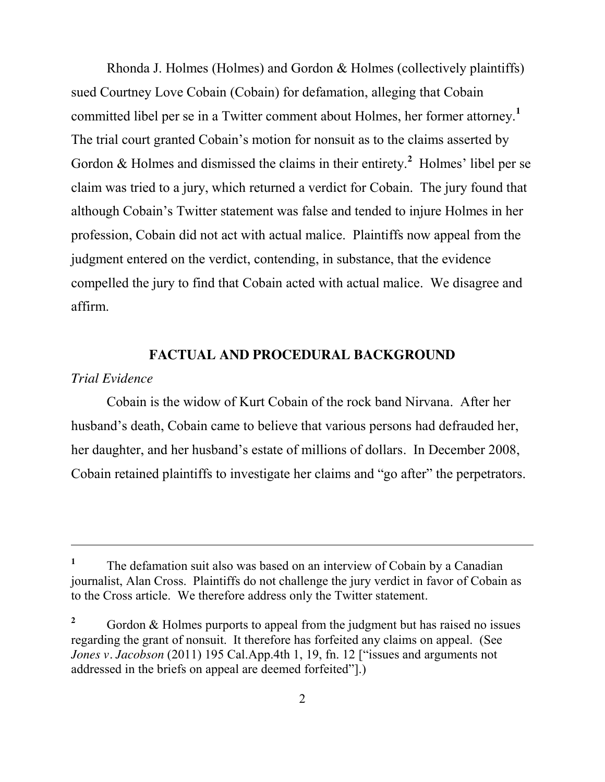Rhonda J. Holmes (Holmes) and Gordon & Holmes (collectively plaintiffs) sued Courtney Love Cobain (Cobain) for defamation, alleging that Cobain committed libel per se in a Twitter comment about Holmes, her former attorney.**<sup>1</sup>** The trial court granted Cobain's motion for nonsuit as to the claims asserted by Gordon & Holmes and dismissed the claims in their entirety.<sup>2</sup> Holmes' libel per se claim was tried to a jury, which returned a verdict for Cobain. The jury found that although Cobain's Twitter statement was false and tended to injure Holmes in her profession, Cobain did not act with actual malice. Plaintiffs now appeal from the judgment entered on the verdict, contending, in substance, that the evidence compelled the jury to find that Cobain acted with actual malice. We disagree and affirm.

## **FACTUAL AND PROCEDURAL BACKGROUND**

#### *Trial Evidence*

 $\overline{a}$ 

Cobain is the widow of Kurt Cobain of the rock band Nirvana. After her husband's death, Cobain came to believe that various persons had defrauded her, her daughter, and her husband's estate of millions of dollars. In December 2008, Cobain retained plaintiffs to investigate her claims and "go after" the perpetrators.

<sup>&</sup>lt;sup>1</sup> The defamation suit also was based on an interview of Cobain by a Canadian journalist, Alan Cross. Plaintiffs do not challenge the jury verdict in favor of Cobain as to the Cross article. We therefore address only the Twitter statement.

<sup>&</sup>lt;sup>2</sup> Gordon & Holmes purports to appeal from the judgment but has raised no issues regarding the grant of nonsuit. It therefore has forfeited any claims on appeal. (See *Jones v. Jacobson* (2011) 195 Cal.App.4th 1, 19, fn. 12 ["issues and arguments not addressed in the briefs on appeal are deemed forfeited"].)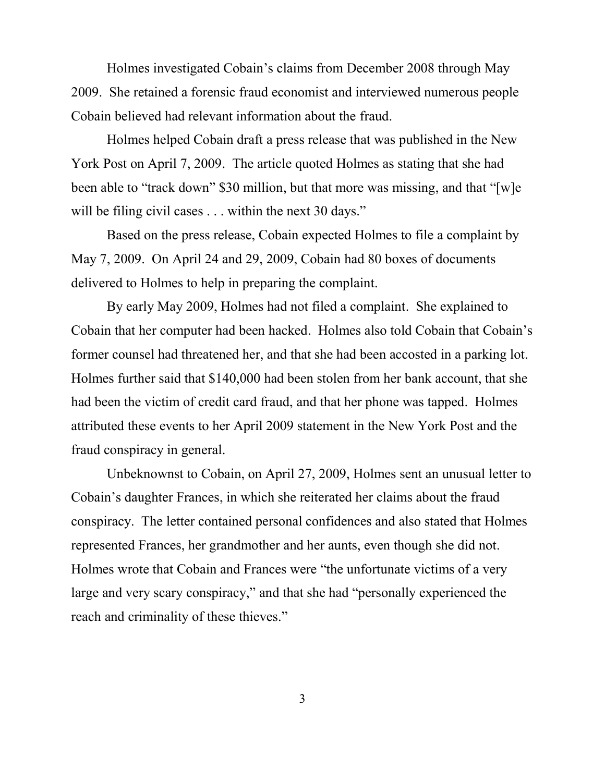Holmes investigated Cobain's claims from December 2008 through May 2009. She retained a forensic fraud economist and interviewed numerous people Cobain believed had relevant information about the fraud.

Holmes helped Cobain draft a press release that was published in the New York Post on April 7, 2009. The article quoted Holmes as stating that she had been able to "track down" \$30 million, but that more was missing, and that "[w]e will be filing civil cases . . . within the next 30 days."

Based on the press release, Cobain expected Holmes to file a complaint by May 7, 2009. On April 24 and 29, 2009, Cobain had 80 boxes of documents delivered to Holmes to help in preparing the complaint.

By early May 2009, Holmes had not filed a complaint. She explained to Cobain that her computer had been hacked. Holmes also told Cobain that Cobain's former counsel had threatened her, and that she had been accosted in a parking lot. Holmes further said that \$140,000 had been stolen from her bank account, that she had been the victim of credit card fraud, and that her phone was tapped. Holmes attributed these events to her April 2009 statement in the New York Post and the fraud conspiracy in general.

Unbeknownst to Cobain, on April 27, 2009, Holmes sent an unusual letter to Cobain's daughter Frances, in which she reiterated her claims about the fraud conspiracy. The letter contained personal confidences and also stated that Holmes represented Frances, her grandmother and her aunts, even though she did not. Holmes wrote that Cobain and Frances were "the unfortunate victims of a very large and very scary conspiracy," and that she had "personally experienced the reach and criminality of these thieves."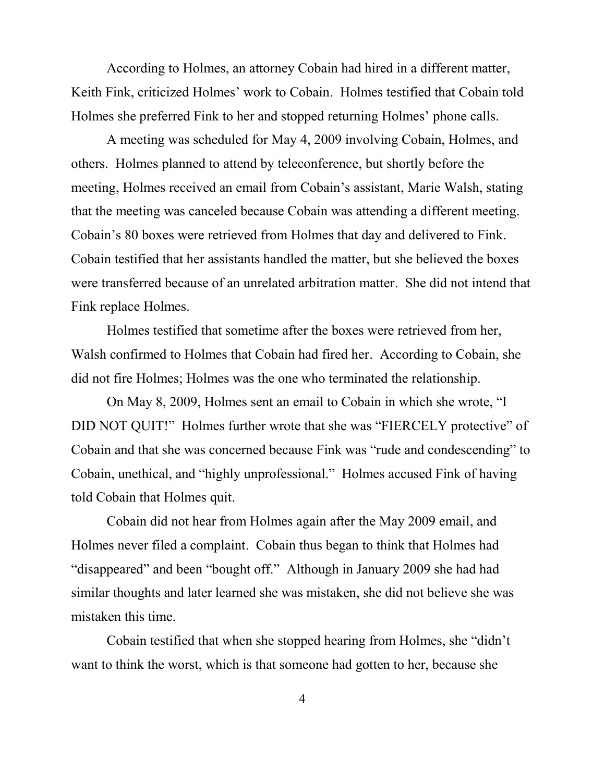According to Holmes, an attorney Cobain had hired in a different matter, Keith Fink, criticized Holmes' work to Cobain. Holmes testified that Cobain told Holmes she preferred Fink to her and stopped returning Holmes' phone calls.

A meeting was scheduled for May 4, 2009 involving Cobain, Holmes, and others. Holmes planned to attend by teleconference, but shortly before the meeting, Holmes received an email from Cobain's assistant, Marie Walsh, stating that the meeting was canceled because Cobain was attending a different meeting. Cobain's 80 boxes were retrieved from Holmes that day and delivered to Fink. Cobain testified that her assistants handled the matter, but she believed the boxes were transferred because of an unrelated arbitration matter. She did not intend that Fink replace Holmes.

Holmes testified that sometime after the boxes were retrieved from her, Walsh confirmed to Holmes that Cobain had fired her. According to Cobain, she did not fire Holmes; Holmes was the one who terminated the relationship.

On May 8, 2009, Holmes sent an email to Cobain in which she wrote, "I DID NOT QUIT!" Holmes further wrote that she was "FIERCELY protective" of Cobain and that she was concerned because Fink was "rude and condescending" to Cobain, unethical, and "highly unprofessional." Holmes accused Fink of having told Cobain that Holmes quit.

Cobain did not hear from Holmes again after the May 2009 email, and Holmes never filed a complaint. Cobain thus began to think that Holmes had "disappeared" and been "bought off." Although in January 2009 she had had similar thoughts and later learned she was mistaken, she did not believe she was mistaken this time.

Cobain testified that when she stopped hearing from Holmes, she "didn't want to think the worst, which is that someone had gotten to her, because she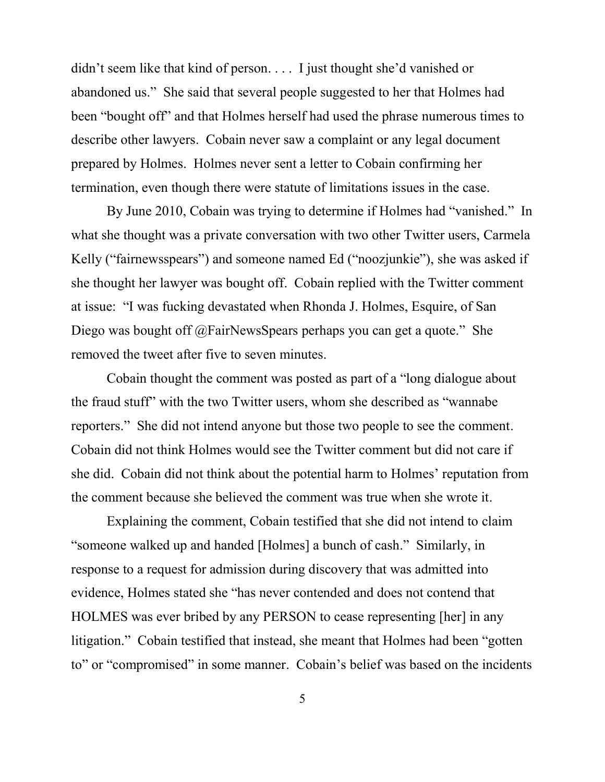didn't seem like that kind of person. . . . I just thought she'd vanished or abandoned us." She said that several people suggested to her that Holmes had been "bought off" and that Holmes herself had used the phrase numerous times to describe other lawyers. Cobain never saw a complaint or any legal document prepared by Holmes. Holmes never sent a letter to Cobain confirming her termination, even though there were statute of limitations issues in the case.

By June 2010, Cobain was trying to determine if Holmes had "vanished." In what she thought was a private conversation with two other Twitter users, Carmela Kelly ("fairnewsspears") and someone named Ed ("noozjunkie"), she was asked if she thought her lawyer was bought off. Cobain replied with the Twitter comment at issue: "I was fucking devastated when Rhonda J. Holmes, Esquire, of San Diego was bought off @FairNewsSpears perhaps you can get a quote." She removed the tweet after five to seven minutes.

Cobain thought the comment was posted as part of a "long dialogue about the fraud stuff" with the two Twitter users, whom she described as "wannabe reporters." She did not intend anyone but those two people to see the comment. Cobain did not think Holmes would see the Twitter comment but did not care if she did. Cobain did not think about the potential harm to Holmes' reputation from the comment because she believed the comment was true when she wrote it.

Explaining the comment, Cobain testified that she did not intend to claim "someone walked up and handed [Holmes] a bunch of cash." Similarly, in response to a request for admission during discovery that was admitted into evidence, Holmes stated she "has never contended and does not contend that HOLMES was ever bribed by any PERSON to cease representing [her] in any litigation." Cobain testified that instead, she meant that Holmes had been "gotten to" or "compromised" in some manner. Cobain's belief was based on the incidents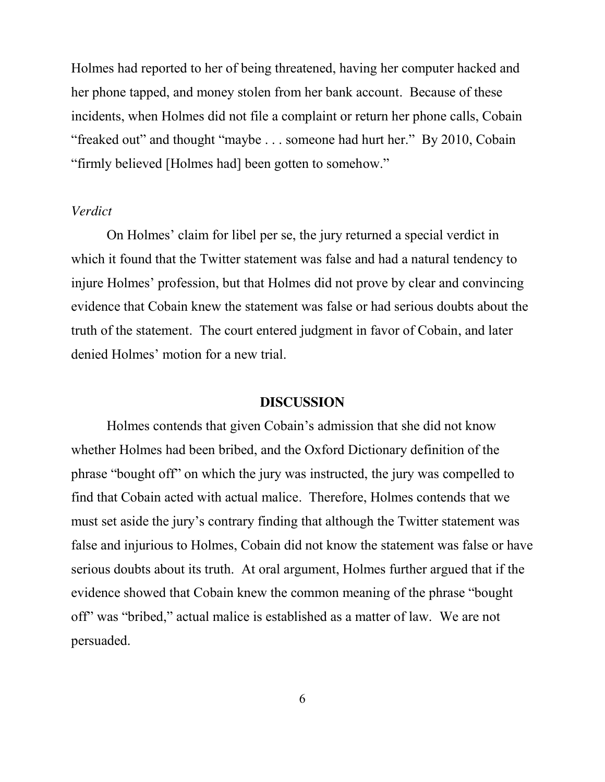Holmes had reported to her of being threatened, having her computer hacked and her phone tapped, and money stolen from her bank account. Because of these incidents, when Holmes did not file a complaint or return her phone calls, Cobain "freaked out" and thought "maybe . . . someone had hurt her." By 2010, Cobain "firmly believed [Holmes had] been gotten to somehow."

#### *Verdict*

On Holmes' claim for libel per se, the jury returned a special verdict in which it found that the Twitter statement was false and had a natural tendency to injure Holmes' profession, but that Holmes did not prove by clear and convincing evidence that Cobain knew the statement was false or had serious doubts about the truth of the statement. The court entered judgment in favor of Cobain, and later denied Holmes' motion for a new trial.

#### **DISCUSSION**

Holmes contends that given Cobain's admission that she did not know whether Holmes had been bribed, and the Oxford Dictionary definition of the phrase "bought off" on which the jury was instructed, the jury was compelled to find that Cobain acted with actual malice. Therefore, Holmes contends that we must set aside the jury's contrary finding that although the Twitter statement was false and injurious to Holmes, Cobain did not know the statement was false or have serious doubts about its truth. At oral argument, Holmes further argued that if the evidence showed that Cobain knew the common meaning of the phrase "bought off" was "bribed," actual malice is established as a matter of law. We are not persuaded.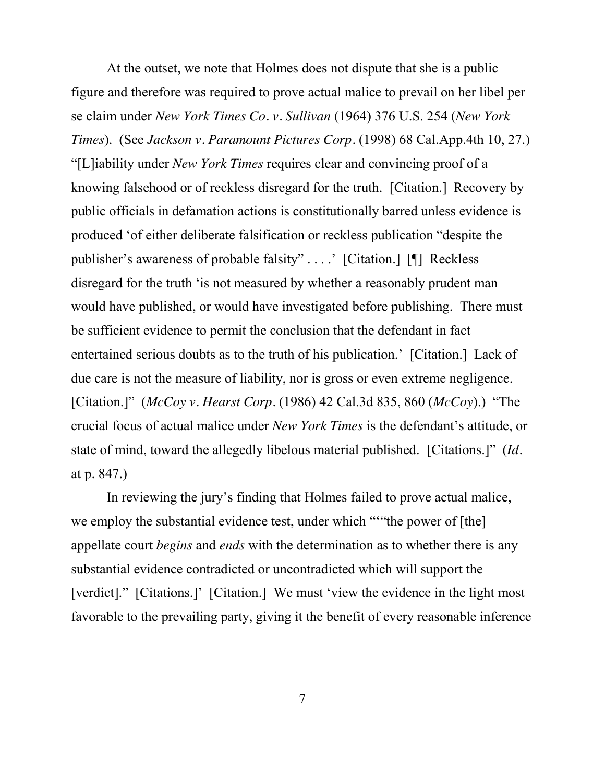At the outset, we note that Holmes does not dispute that she is a public figure and therefore was required to prove actual malice to prevail on her libel per se claim under *New York Times Co. v. Sullivan* (1964) 376 U.S. 254 (*New York Times*). (See *Jackson v. Paramount Pictures Corp.* (1998) 68 Cal.App.4th 10, 27.) "[L]iability under *New York Times* requires clear and convincing proof of a knowing falsehood or of reckless disregard for the truth. [Citation.] Recovery by public officials in defamation actions is constitutionally barred unless evidence is produced 'of either deliberate falsification or reckless publication "despite the publisher's awareness of probable falsity" . . . .' [Citation.] [¶] Reckless disregard for the truth 'is not measured by whether a reasonably prudent man would have published, or would have investigated before publishing. There must be sufficient evidence to permit the conclusion that the defendant in fact entertained serious doubts as to the truth of his publication.' [Citation.] Lack of due care is not the measure of liability, nor is gross or even extreme negligence. [Citation.]" (*McCoy v. Hearst Corp.* (1986) 42 Cal.3d 835, 860 (*McCoy*).) "The crucial focus of actual malice under *New York Times* is the defendant's attitude, or state of mind, toward the allegedly libelous material published. [Citations.]" (*Id.* at p. 847.)

In reviewing the jury's finding that Holmes failed to prove actual malice, we employ the substantial evidence test, under which ""the power of [the] appellate court *begins* and *ends* with the determination as to whether there is any substantial evidence contradicted or uncontradicted which will support the [verdict]." [Citations.]' [Citation.] We must 'view the evidence in the light most favorable to the prevailing party, giving it the benefit of every reasonable inference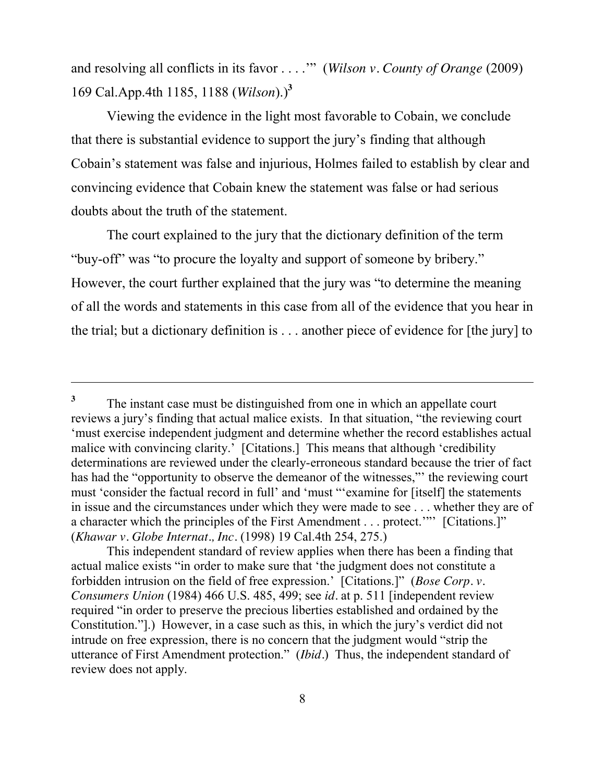and resolving all conflicts in its favor . . . .'" (*Wilson v. County of Orange* (2009) 169 Cal.App.4th 1185, 1188 (*Wilson*).)**<sup>3</sup>**

Viewing the evidence in the light most favorable to Cobain, we conclude that there is substantial evidence to support the jury's finding that although Cobain's statement was false and injurious, Holmes failed to establish by clear and convincing evidence that Cobain knew the statement was false or had serious doubts about the truth of the statement.

The court explained to the jury that the dictionary definition of the term "buy-off" was "to procure the loyalty and support of someone by bribery." However, the court further explained that the jury was "to determine the meaning of all the words and statements in this case from all of the evidence that you hear in the trial; but a dictionary definition is . . . another piece of evidence for [the jury] to

<sup>&</sup>lt;sup>3</sup> The instant case must be distinguished from one in which an appellate court reviews a jury's finding that actual malice exists. In that situation, "the reviewing court 'must exercise independent judgment and determine whether the record establishes actual malice with convincing clarity.' [Citations.] This means that although 'credibility determinations are reviewed under the clearly-erroneous standard because the trier of fact has had the "opportunity to observe the demeanor of the witnesses,"' the reviewing court must 'consider the factual record in full' and 'must "'examine for [itself] the statements in issue and the circumstances under which they were made to see . . . whether they are of a character which the principles of the First Amendment . . . protect.'"' [Citations.]" (*Khawar v. Globe Internat., Inc.* (1998) 19 Cal.4th 254, 275.)

This independent standard of review applies when there has been a finding that actual malice exists "in order to make sure that 'the judgment does not constitute a forbidden intrusion on the field of free expression.' [Citations.]" (*Bose Corp. v. Consumers Union* (1984) 466 U.S. 485, 499; see *id.* at p. 511 [independent review required "in order to preserve the precious liberties established and ordained by the Constitution."].) However, in a case such as this, in which the jury's verdict did not intrude on free expression, there is no concern that the judgment would "strip the utterance of First Amendment protection." (*Ibid.*) Thus, the independent standard of review does not apply.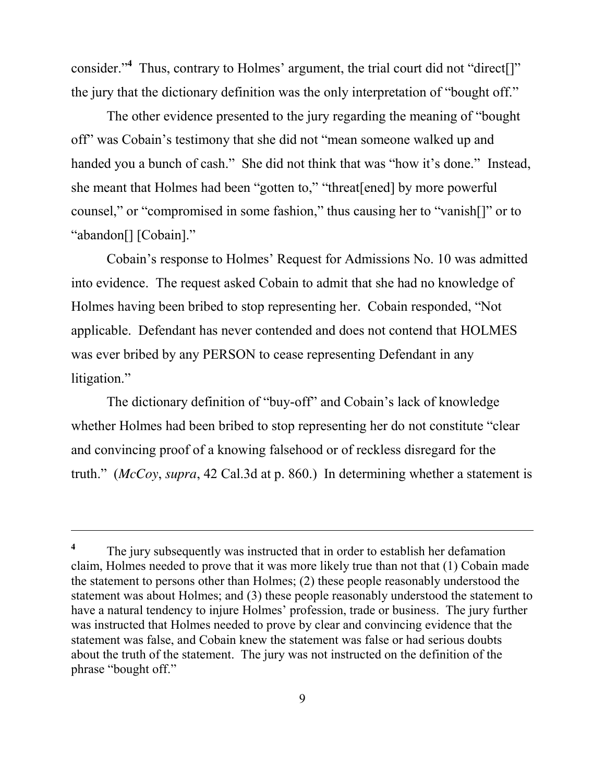consider."<sup>4</sup> Thus, contrary to Holmes' argument, the trial court did not "direct[]" the jury that the dictionary definition was the only interpretation of "bought off."

The other evidence presented to the jury regarding the meaning of "bought off" was Cobain's testimony that she did not "mean someone walked up and handed you a bunch of cash." She did not think that was "how it's done." Instead, she meant that Holmes had been "gotten to," "threat[ened] by more powerful counsel," or "compromised in some fashion," thus causing her to "vanish[]" or to "abandon[] [Cobain]."

Cobain's response to Holmes' Request for Admissions No. 10 was admitted into evidence. The request asked Cobain to admit that she had no knowledge of Holmes having been bribed to stop representing her. Cobain responded, "Not applicable. Defendant has never contended and does not contend that HOLMES was ever bribed by any PERSON to cease representing Defendant in any litigation."

The dictionary definition of "buy-off" and Cobain's lack of knowledge whether Holmes had been bribed to stop representing her do not constitute "clear and convincing proof of a knowing falsehood or of reckless disregard for the truth." (*McCoy*, *supra*, 42 Cal.3d at p. 860.) In determining whether a statement is

**<sup>4</sup>** The jury subsequently was instructed that in order to establish her defamation claim, Holmes needed to prove that it was more likely true than not that (1) Cobain made the statement to persons other than Holmes; (2) these people reasonably understood the statement was about Holmes; and (3) these people reasonably understood the statement to have a natural tendency to injure Holmes' profession, trade or business. The jury further was instructed that Holmes needed to prove by clear and convincing evidence that the statement was false, and Cobain knew the statement was false or had serious doubts about the truth of the statement. The jury was not instructed on the definition of the phrase "bought off."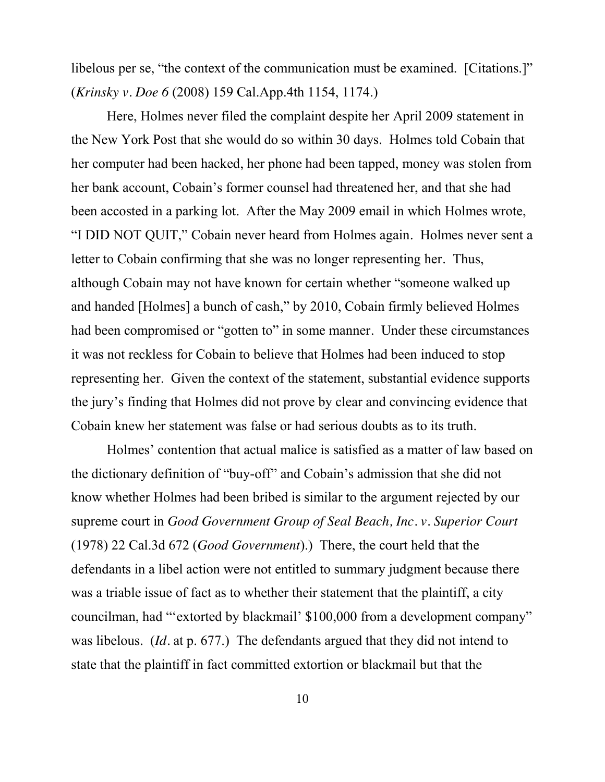libelous per se, "the context of the communication must be examined. [Citations.]" (*Krinsky v. Doe 6* (2008) 159 Cal.App.4th 1154, 1174.)

Here, Holmes never filed the complaint despite her April 2009 statement in the New York Post that she would do so within 30 days. Holmes told Cobain that her computer had been hacked, her phone had been tapped, money was stolen from her bank account, Cobain's former counsel had threatened her, and that she had been accosted in a parking lot. After the May 2009 email in which Holmes wrote, "I DID NOT QUIT," Cobain never heard from Holmes again. Holmes never sent a letter to Cobain confirming that she was no longer representing her. Thus, although Cobain may not have known for certain whether "someone walked up and handed [Holmes] a bunch of cash," by 2010, Cobain firmly believed Holmes had been compromised or "gotten to" in some manner. Under these circumstances it was not reckless for Cobain to believe that Holmes had been induced to stop representing her. Given the context of the statement, substantial evidence supports the jury's finding that Holmes did not prove by clear and convincing evidence that Cobain knew her statement was false or had serious doubts as to its truth.

Holmes' contention that actual malice is satisfied as a matter of law based on the dictionary definition of "buy-off" and Cobain's admission that she did not know whether Holmes had been bribed is similar to the argument rejected by our supreme court in *Good Government Group of Seal Beach, Inc. v. Superior Court*  (1978) 22 Cal.3d 672 (*Good Government*).) There, the court held that the defendants in a libel action were not entitled to summary judgment because there was a triable issue of fact as to whether their statement that the plaintiff, a city councilman, had "'extorted by blackmail' \$100,000 from a development company" was libelous. (*Id.* at p. 677.) The defendants argued that they did not intend to state that the plaintiff in fact committed extortion or blackmail but that the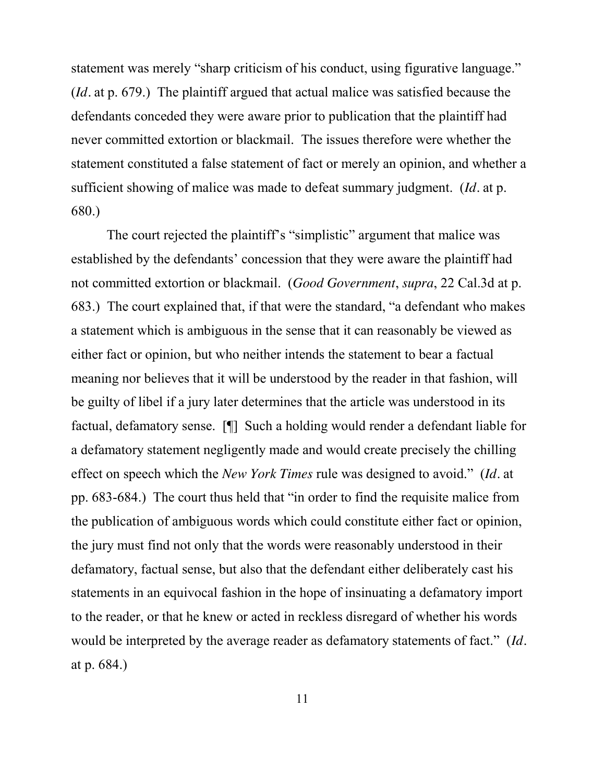statement was merely "sharp criticism of his conduct, using figurative language." (*Id.* at p. 679.) The plaintiff argued that actual malice was satisfied because the defendants conceded they were aware prior to publication that the plaintiff had never committed extortion or blackmail. The issues therefore were whether the statement constituted a false statement of fact or merely an opinion, and whether a sufficient showing of malice was made to defeat summary judgment. (*Id.* at p. 680.)

The court rejected the plaintiff's "simplistic" argument that malice was established by the defendants' concession that they were aware the plaintiff had not committed extortion or blackmail. (*Good Government*, *supra*, 22 Cal.3d at p. 683.) The court explained that, if that were the standard, "a defendant who makes a statement which is ambiguous in the sense that it can reasonably be viewed as either fact or opinion, but who neither intends the statement to bear a factual meaning nor believes that it will be understood by the reader in that fashion, will be guilty of libel if a jury later determines that the article was understood in its factual, defamatory sense. [¶] Such a holding would render a defendant liable for a defamatory statement negligently made and would create precisely the chilling effect on speech which the *New York Times* rule was designed to avoid." (*Id.* at pp. 683-684.) The court thus held that "in order to find the requisite malice from the publication of ambiguous words which could constitute either fact or opinion, the jury must find not only that the words were reasonably understood in their defamatory, factual sense, but also that the defendant either deliberately cast his statements in an equivocal fashion in the hope of insinuating a defamatory import to the reader, or that he knew or acted in reckless disregard of whether his words would be interpreted by the average reader as defamatory statements of fact." (*Id.* at p. 684.)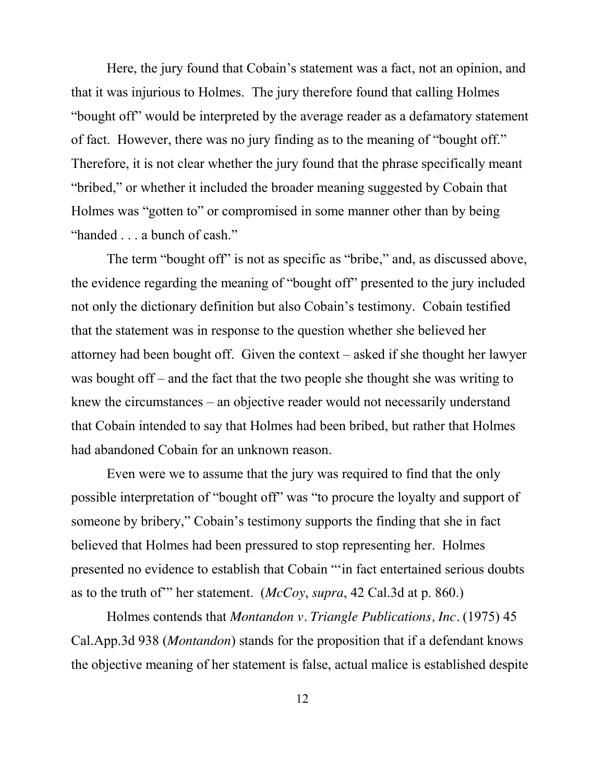Here, the jury found that Cobain's statement was a fact, not an opinion, and that it was injurious to Holmes. The jury therefore found that calling Holmes "bought off" would be interpreted by the average reader as a defamatory statement of fact. However, there was no jury finding as to the meaning of "bought off." Therefore, it is not clear whether the jury found that the phrase specifically meant "bribed," or whether it included the broader meaning suggested by Cobain that Holmes was "gotten to" or compromised in some manner other than by being "handed . . . a bunch of cash."

The term "bought off" is not as specific as "bribe," and, as discussed above, the evidence regarding the meaning of "bought off" presented to the jury included not only the dictionary definition but also Cobain's testimony. Cobain testified that the statement was in response to the question whether she believed her attorney had been bought off. Given the context – asked if she thought her lawyer was bought off – and the fact that the two people she thought she was writing to knew the circumstances – an objective reader would not necessarily understand that Cobain intended to say that Holmes had been bribed, but rather that Holmes had abandoned Cobain for an unknown reason.

Even were we to assume that the jury was required to find that the only possible interpretation of "bought off" was "to procure the loyalty and support of someone by bribery," Cobain's testimony supports the finding that she in fact believed that Holmes had been pressured to stop representing her. Holmes presented no evidence to establish that Cobain "'in fact entertained serious doubts as to the truth of'" her statement. (*McCoy*, *supra*, 42 Cal.3d at p. 860.)

Holmes contends that *Montandon v. Triangle Publications, Inc.* (1975) 45 Cal.App.3d 938 (*Montandon*) stands for the proposition that if a defendant knows the objective meaning of her statement is false, actual malice is established despite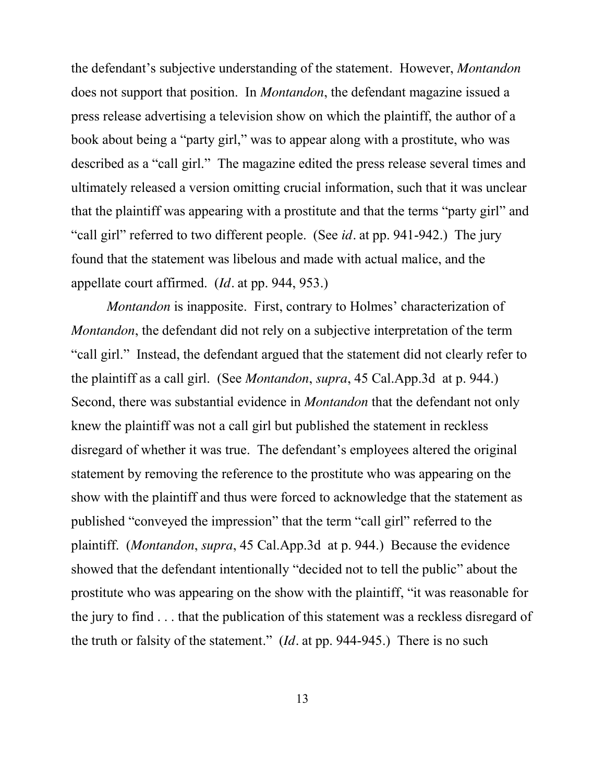the defendant's subjective understanding of the statement. However, *Montandon* does not support that position. In *Montandon*, the defendant magazine issued a press release advertising a television show on which the plaintiff, the author of a book about being a "party girl," was to appear along with a prostitute, who was described as a "call girl." The magazine edited the press release several times and ultimately released a version omitting crucial information, such that it was unclear that the plaintiff was appearing with a prostitute and that the terms "party girl" and "call girl" referred to two different people. (See *id.* at pp. 941-942.) The jury found that the statement was libelous and made with actual malice, and the appellate court affirmed. (*Id.* at pp. 944, 953.)

*Montandon* is inapposite. First, contrary to Holmes' characterization of *Montandon*, the defendant did not rely on a subjective interpretation of the term "call girl." Instead, the defendant argued that the statement did not clearly refer to the plaintiff as a call girl. (See *Montandon*, *supra*, 45 Cal.App.3d at p. 944.) Second, there was substantial evidence in *Montandon* that the defendant not only knew the plaintiff was not a call girl but published the statement in reckless disregard of whether it was true. The defendant's employees altered the original statement by removing the reference to the prostitute who was appearing on the show with the plaintiff and thus were forced to acknowledge that the statement as published "conveyed the impression" that the term "call girl" referred to the plaintiff. (*Montandon*, *supra*, 45 Cal.App.3d at p. 944.) Because the evidence showed that the defendant intentionally "decided not to tell the public" about the prostitute who was appearing on the show with the plaintiff, "it was reasonable for the jury to find . . . that the publication of this statement was a reckless disregard of the truth or falsity of the statement." (*Id.* at pp. 944-945.) There is no such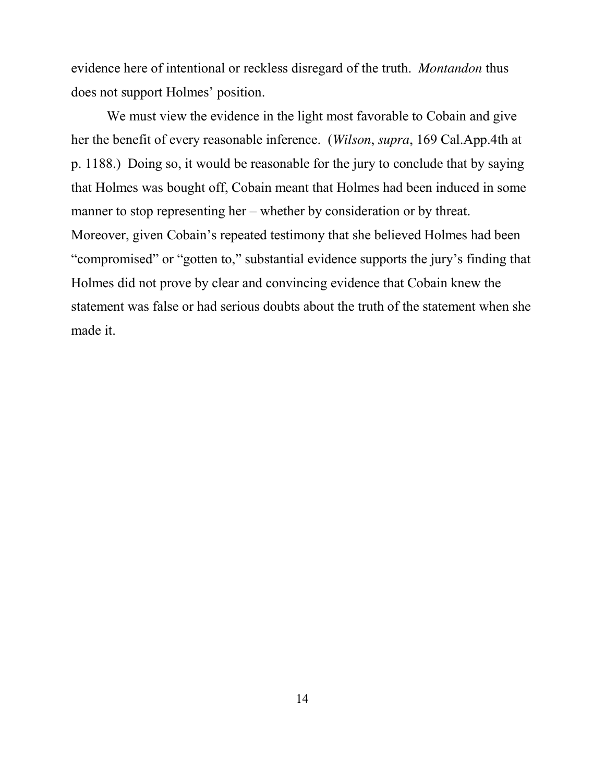evidence here of intentional or reckless disregard of the truth. *Montandon* thus does not support Holmes' position.

We must view the evidence in the light most favorable to Cobain and give her the benefit of every reasonable inference. (*Wilson*, *supra*, 169 Cal.App.4th at p. 1188.) Doing so, it would be reasonable for the jury to conclude that by saying that Holmes was bought off, Cobain meant that Holmes had been induced in some manner to stop representing her – whether by consideration or by threat. Moreover, given Cobain's repeated testimony that she believed Holmes had been "compromised" or "gotten to," substantial evidence supports the jury's finding that Holmes did not prove by clear and convincing evidence that Cobain knew the statement was false or had serious doubts about the truth of the statement when she made it.